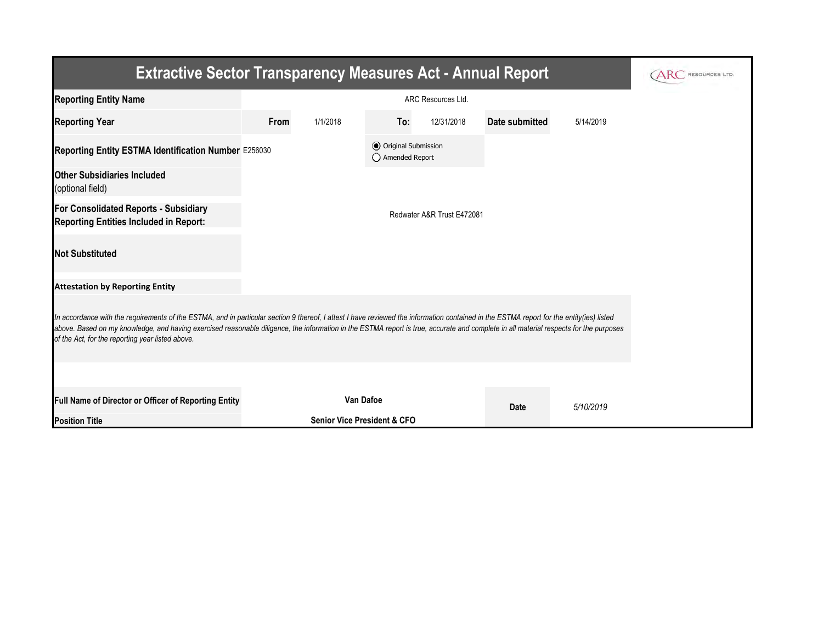| <b>Extractive Sector Transparency Measures Act - Annual Report</b>                                                                                                                                                                                                                                                                                                                                                                    |                    |                                        |                                         |            |                |           |  |  |  |  |
|---------------------------------------------------------------------------------------------------------------------------------------------------------------------------------------------------------------------------------------------------------------------------------------------------------------------------------------------------------------------------------------------------------------------------------------|--------------------|----------------------------------------|-----------------------------------------|------------|----------------|-----------|--|--|--|--|
| <b>Reporting Entity Name</b>                                                                                                                                                                                                                                                                                                                                                                                                          | ARC Resources Ltd. |                                        |                                         |            |                |           |  |  |  |  |
| <b>Reporting Year</b>                                                                                                                                                                                                                                                                                                                                                                                                                 | From               | 1/1/2018                               | To:                                     | 12/31/2018 | Date submitted | 5/14/2019 |  |  |  |  |
| Reporting Entity ESTMA Identification Number E256030                                                                                                                                                                                                                                                                                                                                                                                  |                    |                                        | O Original Submission<br>Amended Report |            |                |           |  |  |  |  |
| <b>Other Subsidiaries Included</b><br>(optional field)                                                                                                                                                                                                                                                                                                                                                                                |                    |                                        |                                         |            |                |           |  |  |  |  |
| For Consolidated Reports - Subsidiary<br>Reporting Entities Included in Report:                                                                                                                                                                                                                                                                                                                                                       |                    | Redwater A&R Trust E472081             |                                         |            |                |           |  |  |  |  |
| <b>Not Substituted</b>                                                                                                                                                                                                                                                                                                                                                                                                                |                    |                                        |                                         |            |                |           |  |  |  |  |
| <b>Attestation by Reporting Entity</b>                                                                                                                                                                                                                                                                                                                                                                                                |                    |                                        |                                         |            |                |           |  |  |  |  |
| In accordance with the requirements of the ESTMA, and in particular section 9 thereof, I attest I have reviewed the information contained in the ESTMA report for the entity(ies) listed<br>above. Based on my knowledge, and having exercised reasonable diligence, the information in the ESTMA report is true, accurate and complete in all material respects for the purposes<br>of the Act, for the reporting year listed above. |                    |                                        |                                         |            |                |           |  |  |  |  |
|                                                                                                                                                                                                                                                                                                                                                                                                                                       |                    |                                        |                                         |            |                |           |  |  |  |  |
| Full Name of Director or Officer of Reporting Entity                                                                                                                                                                                                                                                                                                                                                                                  | <b>Van Dafoe</b>   |                                        |                                         | Date       | 5/10/2019      |           |  |  |  |  |
| <b>Position Title</b>                                                                                                                                                                                                                                                                                                                                                                                                                 |                    | <b>Senior Vice President &amp; CFO</b> |                                         |            |                |           |  |  |  |  |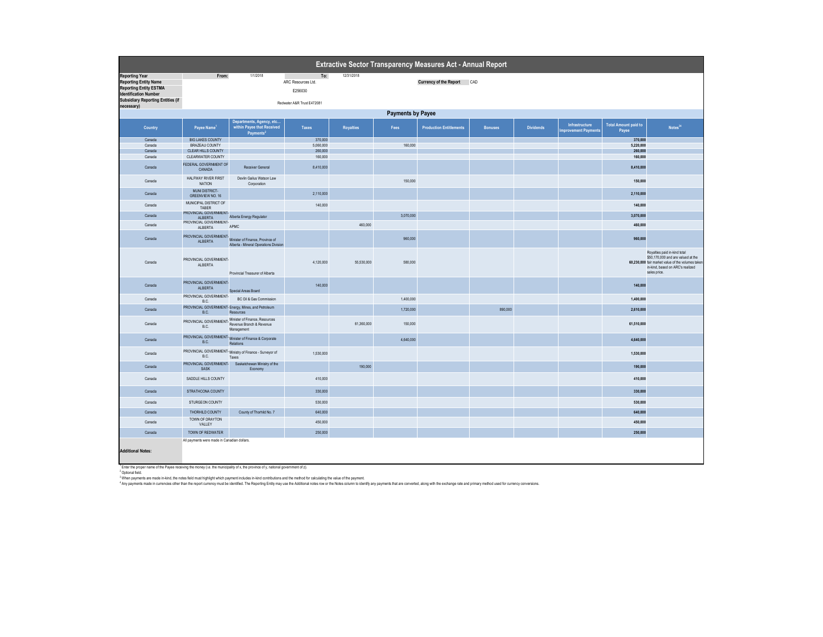| Extractive Sector Transparency Measures Act - Annual Report                                                                                                        |                                                          |                                                                                                |                                      |                  |           |                                |                |                  |                                       |                                      |                                                                                                                                                                             |
|--------------------------------------------------------------------------------------------------------------------------------------------------------------------|----------------------------------------------------------|------------------------------------------------------------------------------------------------|--------------------------------------|------------------|-----------|--------------------------------|----------------|------------------|---------------------------------------|--------------------------------------|-----------------------------------------------------------------------------------------------------------------------------------------------------------------------------|
| <b>Reporting Year</b><br><b>Reporting Entity Name</b><br><b>Reporting Entity ESTMA</b><br><b>Identification Number</b><br><b>Subsidiary Reporting Entities (if</b> | From:                                                    | 1/1/2018                                                                                       | To:<br>ARC Resources Ltd.<br>E256030 | 12/31/2018       |           | Currency of the Report CAD     |                |                  |                                       |                                      |                                                                                                                                                                             |
| necessary)                                                                                                                                                         |                                                          |                                                                                                | Redwater A&R Trust E472081           |                  |           |                                |                |                  |                                       |                                      |                                                                                                                                                                             |
| <b>Payments by Payee</b>                                                                                                                                           |                                                          |                                                                                                |                                      |                  |           |                                |                |                  |                                       |                                      |                                                                                                                                                                             |
| Country                                                                                                                                                            | Payee Name1                                              | Departments, Agency, etc<br>within Payee that Received                                         | <b>Taxes</b>                         | <b>Royalties</b> | Fees      | <b>Production Entitlements</b> | <b>Bonuses</b> | <b>Dividends</b> | Infrastructure<br>mprovement Payments | <b>Total Amount paid to</b><br>Payee | Notes <sup>34</sup>                                                                                                                                                         |
| Canada                                                                                                                                                             | <b>BIG LAKES COUNTY</b>                                  | Payments <sup>2</sup>                                                                          | 370,000                              |                  |           |                                |                |                  |                                       | 370,000                              |                                                                                                                                                                             |
| Canada                                                                                                                                                             | BRAZEAU COUNTY                                           |                                                                                                | 5,060,000                            |                  | 160,000   |                                |                |                  |                                       | 5,220,000                            |                                                                                                                                                                             |
| Canada                                                                                                                                                             | CLEAR HILLS COUNTY                                       |                                                                                                | 260,000                              |                  |           |                                |                |                  |                                       | 260,000                              |                                                                                                                                                                             |
| Canada                                                                                                                                                             | <b>CLEARWATER COUNTY</b>                                 |                                                                                                | 160,000                              |                  |           |                                |                |                  |                                       | 160,000                              |                                                                                                                                                                             |
| Canada                                                                                                                                                             | FEDERAL GOVERNMENT OF<br>CANADA                          | Receiver General                                                                               | 8,410,000                            |                  |           |                                |                |                  |                                       | 8,410,000                            |                                                                                                                                                                             |
| Canada                                                                                                                                                             | <b>HALFWAY RIVER FIRST</b><br>NATION                     | Devlin Gailus Watson Law<br>Corporation                                                        |                                      |                  | 150,000   |                                |                |                  |                                       | 150,000                              |                                                                                                                                                                             |
| Canada                                                                                                                                                             | MUNI DISTRICT-<br>GREENVIEW NO. 16                       |                                                                                                | 2.110.000                            |                  |           |                                |                |                  |                                       | 2.110,000                            |                                                                                                                                                                             |
| Canada                                                                                                                                                             | MUNICIPAL DISTRICT OF<br>TABER<br>PROVINCIAL GOVERNMENT- |                                                                                                | 140,000                              |                  |           |                                |                |                  |                                       | 140,000                              |                                                                                                                                                                             |
| Canada                                                                                                                                                             | ALBERTA                                                  | Alberta Energy Regulator                                                                       |                                      |                  | 3.070.000 |                                |                |                  |                                       | 3.070.000                            |                                                                                                                                                                             |
| Canada                                                                                                                                                             | PROVINCIAL GOVERNMENT-<br>ALBERTA                        | APMC                                                                                           |                                      | 460,000          |           |                                |                |                  |                                       | 460,000                              |                                                                                                                                                                             |
| Canada                                                                                                                                                             | PROVINCIAL GOVERNMENT-<br>ALBERTA                        | Minister of Finance, Province of<br>Alberta - Mineral Operations Division                      |                                      |                  | 960,000   |                                |                |                  |                                       | 960,000                              |                                                                                                                                                                             |
| Canada                                                                                                                                                             | PROVINCIAL GOVERNMENT-<br>ALBERTA                        | Provincial Treasurer of Alberta                                                                | 4,120,000                            | 55,530,000       | 580,000   |                                |                |                  |                                       |                                      | Royalties paid in-kind total<br>\$50,170,000 and are valued at the<br>60,230,000 fair market value of the volumes taken<br>in-kind, based on ARC's realized<br>sales price. |
| Canada                                                                                                                                                             | PROVINCIAL GOVERNMENT-<br>ALBERTA                        | Special Areas Board                                                                            | 140,000                              |                  |           |                                |                |                  |                                       | 140,000                              |                                                                                                                                                                             |
| Canada                                                                                                                                                             | PROVINCIAL GOVERNMENT-<br>B.C.                           | BC Oil & Gas Commission                                                                        |                                      |                  | 1,400,000 |                                |                |                  |                                       | 1,400,000                            |                                                                                                                                                                             |
| Canada                                                                                                                                                             | <b>B.C.</b>                                              | PROVINCIAL GOVERNMENT- Energy, Mines, and Petroleum<br>Resources                               |                                      |                  | 1,720,000 |                                | 890,000        |                  |                                       | 2,610,000                            |                                                                                                                                                                             |
| Canada                                                                                                                                                             | B.C.                                                     | PROVINCIAL GOVERNMENT-Minister of Finance, Resources<br>Revenue Branch & Revenue<br>Management |                                      | 61,360,000       | 150,000   |                                |                |                  |                                       | 61,510,000                           |                                                                                                                                                                             |
| Canada                                                                                                                                                             | B.C.                                                     | PROVINCIAL GOVERNMENT-Minister of Finance & Corporate<br>Relations                             |                                      |                  | 4.640.000 |                                |                |                  |                                       | 4.640,000                            |                                                                                                                                                                             |
| Canada                                                                                                                                                             | B.C.                                                     | PROVINCIAL GOVERNMENT-Ministry of Finance - Surveyor of<br>Taxes                               | 1,530,000                            |                  |           |                                |                |                  |                                       | 1,530,000                            |                                                                                                                                                                             |
| Canada                                                                                                                                                             | PROVINCIAL GOVERNMENT-<br><b>SASK</b>                    | Saskatchewan Ministry of the<br>Economy                                                        |                                      | 190,000          |           |                                |                |                  |                                       | 190,000                              |                                                                                                                                                                             |
| Canada                                                                                                                                                             | SADDLE HILLS COUNTY                                      |                                                                                                | 410,000                              |                  |           |                                |                |                  |                                       | 410,000                              |                                                                                                                                                                             |
| Canada                                                                                                                                                             | STRATHCONA COUNTY                                        |                                                                                                | 330,000                              |                  |           |                                |                |                  |                                       | 330,000                              |                                                                                                                                                                             |
| Canada                                                                                                                                                             | STURGEON COUNTY                                          |                                                                                                | 530,000                              |                  |           |                                |                |                  |                                       | 530,000                              |                                                                                                                                                                             |
| Canada                                                                                                                                                             | THORHILD COUNTY                                          | County of Thorhild No. 7                                                                       | 640,000                              |                  |           |                                |                |                  |                                       | 640,000                              |                                                                                                                                                                             |
| Canada                                                                                                                                                             | TOWN OF DRAYTON<br>VALLEY                                |                                                                                                | 450,000                              |                  |           |                                |                |                  |                                       | 450,000                              |                                                                                                                                                                             |
| Canada                                                                                                                                                             | TOWN OF REDWATER                                         |                                                                                                | 250,000                              |                  |           |                                |                |                  |                                       | 250,000                              |                                                                                                                                                                             |
|                                                                                                                                                                    | All payments were made in Canadian dollars.              |                                                                                                |                                      |                  |           |                                |                |                  |                                       |                                      |                                                                                                                                                                             |
| <b>Additional Notes:</b>                                                                                                                                           |                                                          |                                                                                                |                                      |                  |           |                                |                |                  |                                       |                                      |                                                                                                                                                                             |

' Eater he proper name of the Payes receiving the money (i.e. the municipality of x, the province of y, national government of 2).<br>"When payments are made a kind of the film that include the material includes in kind contr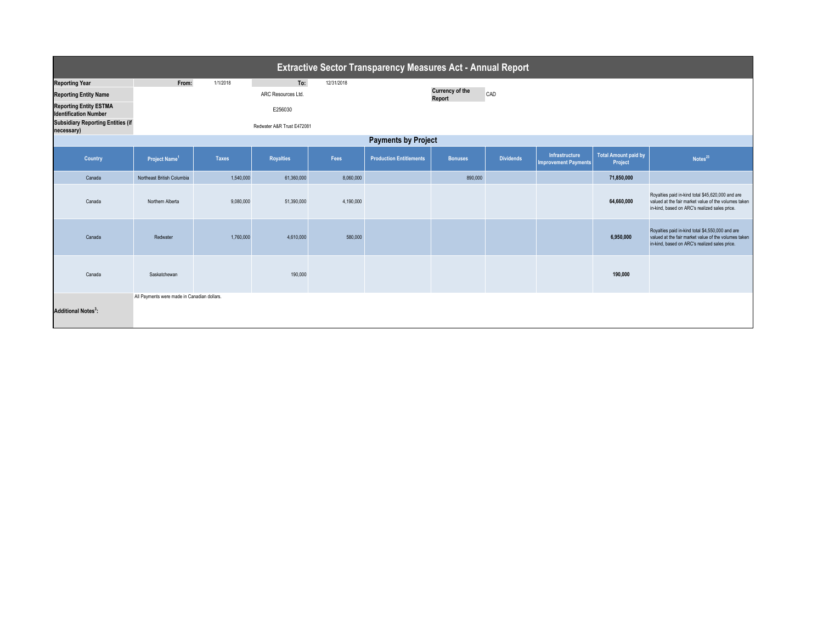| Extractive Sector Transparency Measures Act - Annual Report   |                                             |              |                            |            |                                |                                  |                  |                                               |                                        |                                                                                                                                                            |  |
|---------------------------------------------------------------|---------------------------------------------|--------------|----------------------------|------------|--------------------------------|----------------------------------|------------------|-----------------------------------------------|----------------------------------------|------------------------------------------------------------------------------------------------------------------------------------------------------------|--|
| <b>Reporting Year</b>                                         | From:                                       | 1/1/2018     | To:                        | 12/31/2018 |                                |                                  |                  |                                               |                                        |                                                                                                                                                            |  |
| <b>Reporting Entity Name</b>                                  |                                             |              | ARC Resources Ltd.         |            |                                | <b>Currency of the</b><br>Report | CAD              |                                               |                                        |                                                                                                                                                            |  |
| <b>Reporting Entity ESTMA</b><br><b>Identification Number</b> |                                             |              | E256030                    |            |                                |                                  |                  |                                               |                                        |                                                                                                                                                            |  |
| <b>Subsidiary Reporting Entities (if</b><br>necessary)        |                                             |              | Redwater A&R Trust E472081 |            |                                |                                  |                  |                                               |                                        |                                                                                                                                                            |  |
| <b>Payments by Project</b>                                    |                                             |              |                            |            |                                |                                  |                  |                                               |                                        |                                                                                                                                                            |  |
| <b>Country</b>                                                | Project Name <sup>1</sup>                   | <b>Taxes</b> | <b>Royalties</b>           | Fees       | <b>Production Entitlements</b> | <b>Bonuses</b>                   | <b>Dividends</b> | Infrastructure<br><b>Improvement Payments</b> | <b>Total Amount paid by</b><br>Project | Notes <sup>23</sup>                                                                                                                                        |  |
| Canada                                                        | Northeast British Columbia                  | 1,540,000    | 61,360,000                 | 8,060,000  |                                | 890,000                          |                  |                                               | 71,850,000                             |                                                                                                                                                            |  |
| Canada                                                        | Northern Alberta                            | 9,080,000    | 51,390,000                 | 4,190,000  |                                |                                  |                  |                                               | 64,660,000                             | Royalties paid in-kind total \$45,620,000 and are<br>valued at the fair market value of the volumes taken<br>in-kind, based on ARC's realized sales price. |  |
| Canada                                                        | Redwater                                    | 1,760,000    | 4,610,000                  | 580,000    |                                |                                  |                  |                                               | 6,950,000                              | Royalties paid in-kind total \$4,550,000 and are<br>valued at the fair market value of the volumes taken<br>in-kind, based on ARC's realized sales price.  |  |
| Canada                                                        | Saskatchewan                                |              | 190,000                    |            |                                |                                  |                  |                                               | 190,000                                |                                                                                                                                                            |  |
| <b>Additional Notes<sup>3</sup>:</b>                          | All Payments were made in Canadian dollars. |              |                            |            |                                |                                  |                  |                                               |                                        |                                                                                                                                                            |  |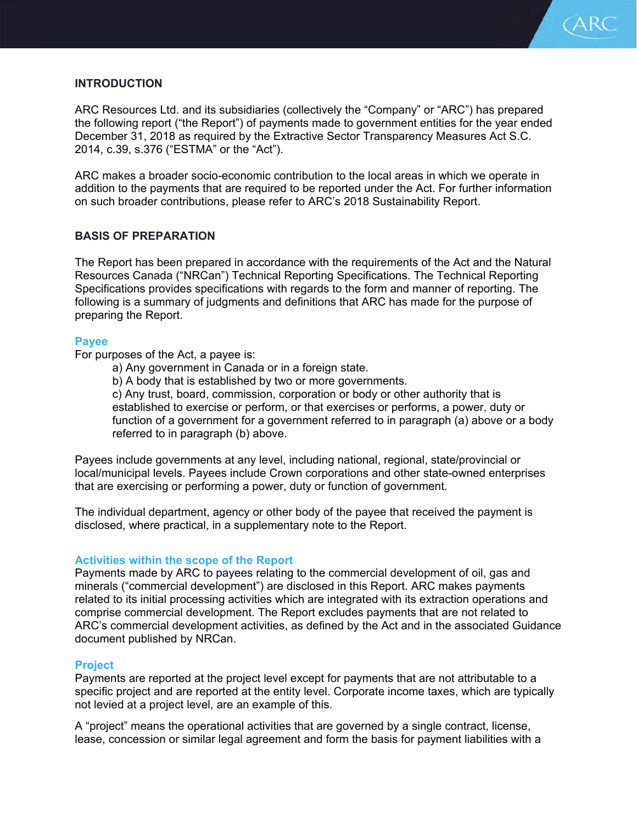

# **INTRODUCTION**

ARC Resources Ltd. and its subsidiaries (collectively the "Company" or "ARC") has prepared the following report ("the Report") of payments made to government entities for the year ended December 31, 2018 as required by the Extractive Sector Transparency Measures Act S.C. 2014, c.39, s.376 ("ESTMA" or the "Act").

ARC makes a broader socio-economic contribution to the local areas in which we operate in addition to the payments that are required to be reported under the Act. For further information on such broader contributions, please refer to ARC's 2018 Sustainability Report.

## **BASIS OF PREPARATION**

The Report has been prepared in accordance with the requirements of the Act and the Natural Resources Canada ("NRCan") Technical Reporting Specifications. The Technical Reporting Specifications provides specifications with regards to the form and manner of reporting. The following is a summary of judgments and definitions that ARC has made for the purpose of preparing the Report.

#### **Payee**

For purposes of the Act, a payee is:

- a) Any government in Canada or in a foreign state.
- b) A body that is established by two or more governments.

c) Any trust, board, commission, corporation or body or other authority that is established to exercise or perform, or that exercises or performs, a power, duty or function of a government for a government referred to in paragraph (a) above or a body referred to in paragraph (b) above.

Payees include governments at any level, including national, regional, state/provincial or local/municipal levels. Payees include Crown corporations and other state-owned enterprises that are exercising or performing a power, duty or function of government.

The individual department, agency or other body of the payee that received the payment is disclosed, where practical, in a supplementary note to the Report.

## **Activities within the scope of the Report**

Payments made by ARC to payees relating to the commercial development of oil, gas and minerals ("commercial development") are disclosed in this Report. ARC makes payments related to its initial processing activities which are integrated with its extraction operations and comprise commercial development. The Report excludes payments that are not related to ARC's commercial development activities, as defined by the Act and in the associated Guidance document published by NRCan.

## **Project**

Payments are reported at the project level except for payments that are not attributable to a specific project and are reported at the entity level. Corporate income taxes, which are typically not levied at a project level, are an example of this.

A "project" means the operational activities that are governed by a single contract, license, lease, concession or similar legal agreement and form the basis for payment liabilities with a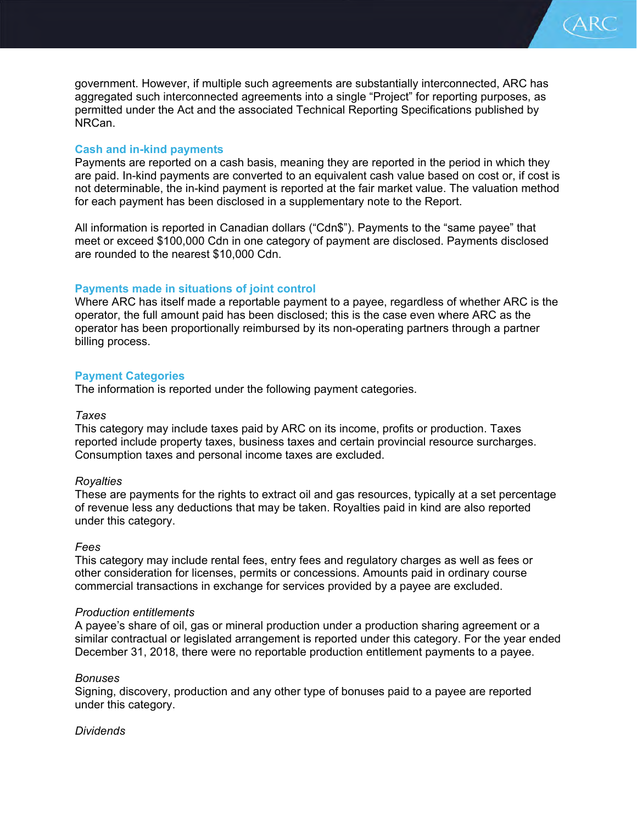government. However, if multiple such agreements are substantially interconnected, ARC has aggregated such interconnected agreements into a single "Project" for reporting purposes, as permitted under the Act and the associated Technical Reporting Specifications published by NRCan.

(ARC

## **Cash and in-kind payments**

Payments are reported on a cash basis, meaning they are reported in the period in which they are paid. In-kind payments are converted to an equivalent cash value based on cost or, if cost is not determinable, the in-kind payment is reported at the fair market value. The valuation method for each payment has been disclosed in a supplementary note to the Report.

All information is reported in Canadian dollars ("Cdn\$"). Payments to the "same payee" that meet or exceed \$100,000 Cdn in one category of payment are disclosed. Payments disclosed are rounded to the nearest \$10,000 Cdn.

## **Payments made in situations of joint control**

Where ARC has itself made a reportable payment to a payee, regardless of whether ARC is the operator, the full amount paid has been disclosed; this is the case even where ARC as the operator has been proportionally reimbursed by its non-operating partners through a partner billing process.

## **Payment Categories**

The information is reported under the following payment categories.

### *Taxes*

This category may include taxes paid by ARC on its income, profits or production. Taxes reported include property taxes, business taxes and certain provincial resource surcharges. Consumption taxes and personal income taxes are excluded.

## *Royalties*

These are payments for the rights to extract oil and gas resources, typically at a set percentage of revenue less any deductions that may be taken. Royalties paid in kind are also reported under this category.

## *Fees*

This category may include rental fees, entry fees and regulatory charges as well as fees or other consideration for licenses, permits or concessions. Amounts paid in ordinary course commercial transactions in exchange for services provided by a payee are excluded.

#### *Production entitlements*

A payee's share of oil, gas or mineral production under a production sharing agreement or a similar contractual or legislated arrangement is reported under this category. For the year ended December 31, 2018, there were no reportable production entitlement payments to a payee.

## *Bonuses*

Signing, discovery, production and any other type of bonuses paid to a payee are reported under this category.

## *Dividends*